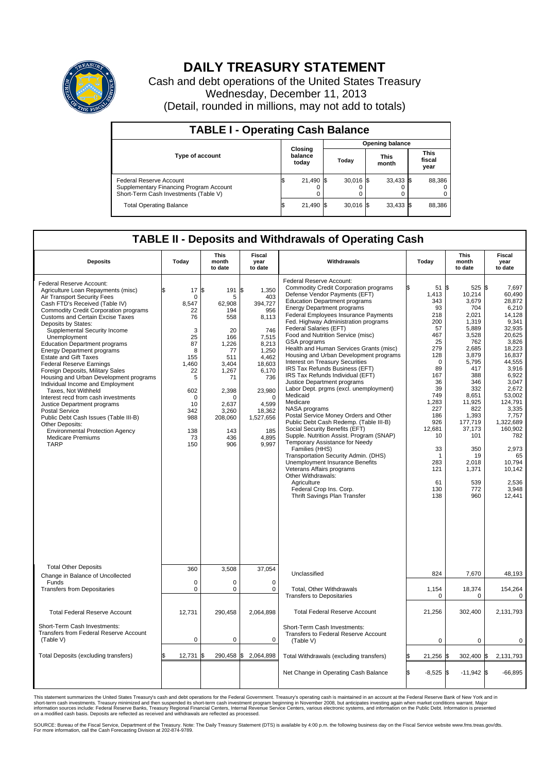

## **DAILY TREASURY STATEMENT**

Cash and debt operations of the United States Treasury Wednesday, December 11, 2013 (Detail, rounded in millions, may not add to totals)

| <b>TABLE I - Operating Cash Balance</b>                                                                     |    |                             |  |                        |  |                      |  |                               |  |
|-------------------------------------------------------------------------------------------------------------|----|-----------------------------|--|------------------------|--|----------------------|--|-------------------------------|--|
|                                                                                                             |    | Closing<br>balance<br>today |  | <b>Opening balance</b> |  |                      |  |                               |  |
| <b>Type of account</b>                                                                                      |    |                             |  | Today                  |  | <b>This</b><br>month |  | <b>This</b><br>fiscal<br>year |  |
| Federal Reserve Account<br>Supplementary Financing Program Account<br>Short-Term Cash Investments (Table V) |    | 21,490 \$                   |  | $30.016$ \$            |  | $33,433$ \$          |  | 88,386                        |  |
| <b>Total Operating Balance</b>                                                                              | ıа | 21,490 \$                   |  | $30.016$ \$            |  | $33,433$ \$          |  | 88,386                        |  |

## **TABLE II - Deposits and Withdrawals of Operating Cash**

| <b>Deposits</b>                                                                                                                                                                                                                                                                                                                                                                                                                                                                                                                                                                                                                                                                                                                                                                                                                            | Today                                                                                                                                                    | This<br>month<br>to date                                                                                                                                          | Fiscal<br>year<br>to date                                                                                                                                                                         | Withdrawals                                                                                                                                                                                                                                                                                                                                                                                                                                                                                                                                                                                                                                                                                                                                                                                                                                                                                                                                                                                                                                                                                               | Today                                                                                                                                                                                                               | <b>This</b><br>month<br>to date                                                                                                                                                                                                                         | Fiscal<br>year<br>to date                                                                                                                                                                                                                                                                 |
|--------------------------------------------------------------------------------------------------------------------------------------------------------------------------------------------------------------------------------------------------------------------------------------------------------------------------------------------------------------------------------------------------------------------------------------------------------------------------------------------------------------------------------------------------------------------------------------------------------------------------------------------------------------------------------------------------------------------------------------------------------------------------------------------------------------------------------------------|----------------------------------------------------------------------------------------------------------------------------------------------------------|-------------------------------------------------------------------------------------------------------------------------------------------------------------------|---------------------------------------------------------------------------------------------------------------------------------------------------------------------------------------------------|-----------------------------------------------------------------------------------------------------------------------------------------------------------------------------------------------------------------------------------------------------------------------------------------------------------------------------------------------------------------------------------------------------------------------------------------------------------------------------------------------------------------------------------------------------------------------------------------------------------------------------------------------------------------------------------------------------------------------------------------------------------------------------------------------------------------------------------------------------------------------------------------------------------------------------------------------------------------------------------------------------------------------------------------------------------------------------------------------------------|---------------------------------------------------------------------------------------------------------------------------------------------------------------------------------------------------------------------|---------------------------------------------------------------------------------------------------------------------------------------------------------------------------------------------------------------------------------------------------------|-------------------------------------------------------------------------------------------------------------------------------------------------------------------------------------------------------------------------------------------------------------------------------------------|
| Federal Reserve Account:<br>Agriculture Loan Repayments (misc)<br>Air Transport Security Fees<br>Cash FTD's Received (Table IV)<br><b>Commodity Credit Corporation programs</b><br><b>Customs and Certain Excise Taxes</b><br>Deposits by States:<br>Supplemental Security Income<br>Unemployment<br><b>Education Department programs</b><br><b>Energy Department programs</b><br><b>Estate and Gift Taxes</b><br><b>Federal Reserve Earnings</b><br>Foreign Deposits, Military Sales<br>Housing and Urban Development programs<br>Individual Income and Employment<br>Taxes. Not Withheld<br>Interest recd from cash investments<br>Justice Department programs<br><b>Postal Service</b><br>Public Debt Cash Issues (Table III-B)<br>Other Deposits:<br><b>Environmental Protection Agency</b><br><b>Medicare Premiums</b><br><b>TARP</b> | 17<br>\$<br>$\mathbf 0$<br>8,547<br>22<br>76<br>3<br>25<br>87<br>8<br>155<br>1,460<br>22<br>5<br>602<br>$\Omega$<br>10<br>342<br>988<br>138<br>73<br>150 | ß.<br>191<br>5<br>62,908<br>194<br>558<br>20<br>166<br>1.226<br>77<br>511<br>3,404<br>1.267<br>71<br>2,398<br>O<br>2,637<br>3,260<br>208,060<br>143<br>436<br>906 | S.<br>1,350<br>403<br>394,727<br>956<br>8,113<br>746<br>7,515<br>8,213<br>1,250<br>4,462<br>18,603<br>6,170<br>736<br>23,980<br>$\Omega$<br>4,599<br>18,362<br>1,527,656<br>185<br>4,895<br>9,997 | Federal Reserve Account:<br><b>Commodity Credit Corporation programs</b><br>Defense Vendor Payments (EFT)<br><b>Education Department programs</b><br><b>Energy Department programs</b><br><b>Federal Employees Insurance Payments</b><br>Fed. Highway Administration programs<br>Federal Salaries (EFT)<br>Food and Nutrition Service (misc)<br>GSA programs<br>Health and Human Services Grants (misc)<br>Housing and Urban Development programs<br>Interest on Treasury Securities<br>IRS Tax Refunds Business (EFT)<br>IRS Tax Refunds Individual (EFT)<br>Justice Department programs<br>Labor Dept. prgms (excl. unemployment)<br>Medicaid<br>Medicare<br>NASA programs<br>Postal Service Money Orders and Other<br>Public Debt Cash Redemp. (Table III-B)<br>Social Security Benefits (EFT)<br>Supple. Nutrition Assist. Program (SNAP)<br>Temporary Assistance for Needy<br>Families (HHS)<br>Transportation Security Admin. (DHS)<br>Unemployment Insurance Benefits<br>Veterans Affairs programs<br>Other Withdrawals:<br>Agriculture<br>Federal Crop Ins. Corp.<br>Thrift Savings Plan Transfer | 51S<br>1,413<br>343<br>93<br>218<br>200<br>57<br>467<br>25<br>279<br>128<br>$\mathbf 0$<br>89<br>167<br>36<br>39<br>749<br>1,283<br>227<br>186<br>926<br>12,681<br>10<br>33<br>-1<br>283<br>121<br>61<br>130<br>138 | $525$ \$<br>10,214<br>3.679<br>704<br>2.021<br>1,319<br>5.889<br>3,528<br>762<br>2,685<br>3,879<br>5,795<br>417<br>388<br>346<br>332<br>8,651<br>11,925<br>822<br>1,393<br>177.719<br>37,173<br>101<br>350<br>19<br>2,018<br>1,371<br>539<br>772<br>960 | 7,697<br>60,490<br>28.872<br>6,210<br>14,128<br>9,341<br>32.935<br>20,625<br>3,826<br>18,223<br>16,837<br>44,555<br>3,916<br>6.922<br>3,047<br>2,672<br>53,002<br>124.791<br>3,335<br>7,757<br>1.322.689<br>160,902<br>782<br>2,973<br>65<br>10,794<br>10,142<br>2.536<br>3,948<br>12,441 |
| <b>Total Other Deposits</b><br>Change in Balance of Uncollected                                                                                                                                                                                                                                                                                                                                                                                                                                                                                                                                                                                                                                                                                                                                                                            | 360                                                                                                                                                      | 3,508                                                                                                                                                             | 37,054                                                                                                                                                                                            | Unclassified                                                                                                                                                                                                                                                                                                                                                                                                                                                                                                                                                                                                                                                                                                                                                                                                                                                                                                                                                                                                                                                                                              | 824                                                                                                                                                                                                                 | 7,670                                                                                                                                                                                                                                                   | 48,193                                                                                                                                                                                                                                                                                    |
| Funds<br><b>Transfers from Depositaries</b>                                                                                                                                                                                                                                                                                                                                                                                                                                                                                                                                                                                                                                                                                                                                                                                                | $\mathbf 0$<br>0                                                                                                                                         | 0<br>0                                                                                                                                                            | $\mathbf 0$<br>0                                                                                                                                                                                  | Total, Other Withdrawals<br><b>Transfers to Depositaries</b>                                                                                                                                                                                                                                                                                                                                                                                                                                                                                                                                                                                                                                                                                                                                                                                                                                                                                                                                                                                                                                              | 1,154<br>$\mathbf 0$                                                                                                                                                                                                | 18,374<br>0                                                                                                                                                                                                                                             | 154,264<br>0                                                                                                                                                                                                                                                                              |
| <b>Total Federal Reserve Account</b>                                                                                                                                                                                                                                                                                                                                                                                                                                                                                                                                                                                                                                                                                                                                                                                                       | 12,731                                                                                                                                                   | 290,458                                                                                                                                                           | 2,064,898                                                                                                                                                                                         | <b>Total Federal Reserve Account</b>                                                                                                                                                                                                                                                                                                                                                                                                                                                                                                                                                                                                                                                                                                                                                                                                                                                                                                                                                                                                                                                                      | 21,256                                                                                                                                                                                                              | 302,400                                                                                                                                                                                                                                                 | 2,131,793                                                                                                                                                                                                                                                                                 |
| Short-Term Cash Investments:<br>Transfers from Federal Reserve Account<br>(Table V)                                                                                                                                                                                                                                                                                                                                                                                                                                                                                                                                                                                                                                                                                                                                                        | $\pmb{0}$                                                                                                                                                | 0                                                                                                                                                                 | 0                                                                                                                                                                                                 | Short-Term Cash Investments:<br>Transfers to Federal Reserve Account<br>(Table V)                                                                                                                                                                                                                                                                                                                                                                                                                                                                                                                                                                                                                                                                                                                                                                                                                                                                                                                                                                                                                         | 0                                                                                                                                                                                                                   | $\mathbf 0$                                                                                                                                                                                                                                             | $\mathbf 0$                                                                                                                                                                                                                                                                               |
| Total Deposits (excluding transfers)                                                                                                                                                                                                                                                                                                                                                                                                                                                                                                                                                                                                                                                                                                                                                                                                       | 12,731<br>\$                                                                                                                                             | 290,458 \$<br>\$                                                                                                                                                  | 2,064,898                                                                                                                                                                                         | Total Withdrawals (excluding transfers)                                                                                                                                                                                                                                                                                                                                                                                                                                                                                                                                                                                                                                                                                                                                                                                                                                                                                                                                                                                                                                                                   | 21,256 \$                                                                                                                                                                                                           | 302,400 \$                                                                                                                                                                                                                                              | 2,131,793                                                                                                                                                                                                                                                                                 |
|                                                                                                                                                                                                                                                                                                                                                                                                                                                                                                                                                                                                                                                                                                                                                                                                                                            |                                                                                                                                                          |                                                                                                                                                                   |                                                                                                                                                                                                   | Net Change in Operating Cash Balance                                                                                                                                                                                                                                                                                                                                                                                                                                                                                                                                                                                                                                                                                                                                                                                                                                                                                                                                                                                                                                                                      | Ŝ.<br>$-8,525$ \$                                                                                                                                                                                                   | $-11,942$ \$                                                                                                                                                                                                                                            | $-66,895$                                                                                                                                                                                                                                                                                 |

This statement summarizes the United States Treasury's cash and debt operations for the Federal Government. Treasury's operating cash is maintained in an account at the Federal Reserve Bank of New York and in<br>informetion c

SOURCE: Bureau of the Fiscal Service, Department of the Treasury. Note: The Daily Treasury Statement (DTS) is available by 4:00 p.m. the following business day on the Fiscal Service website www.fms.treas.gov/dts.<br>For more